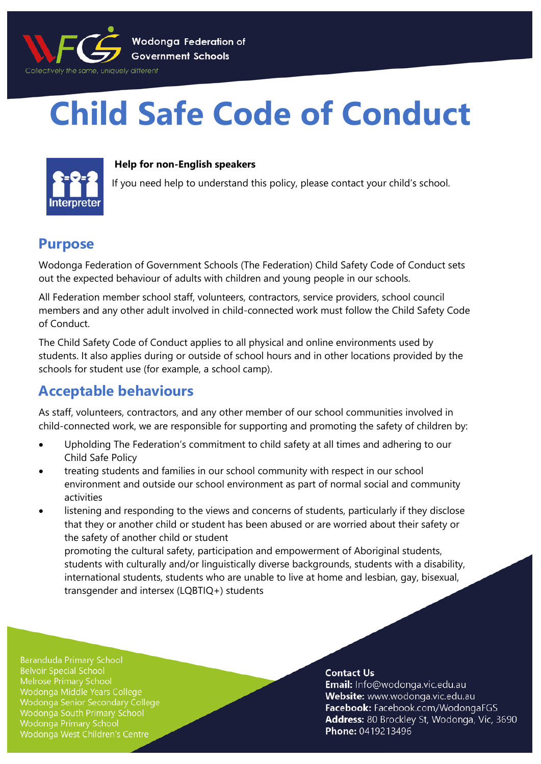

# **Child Safe Code of Conduct**



#### **Help for non-English speakers**

If you need help to understand this policy, please contact your child's school.

### **Purpose**

Wodonga Federation of Government Schools (The Federation) Child Safety Code of Conduct sets out the expected behaviour of adults with children and young people in our schools.

All Federation member school staff, volunteers, contractors, service providers, school council members and any other adult involved in child-connected work must follow the Child Safety Code of Conduct.

The Child Safety Code of Conduct applies to all physical and online environments used by students. It also applies during or outside of school hours and in other locations provided by the schools for student use (for example, a school camp).

## **Acceptable behaviours**

As staff, volunteers, contractors, and any other member of our school communities involved in child-connected work, we are responsible for supporting and promoting the safety of children by:

- Upholding The Federation's commitment to child safety at all times and adhering to our Child Safe Policy
- treating students and families in our school community with respect in our school environment and outside our school environment as part of normal social and community activities
- listening and responding to the views and concerns of students, particularly if they disclose that they or another child or student has been abused or are worried about their safety or the safety of another child or student promoting the cultural safety, participation and empowerment of Aboriginal students, students with culturally and/or linguistically diverse backgrounds, students with a disability,

international students, students who are unable to live at home and lesbian, gay, bisexual, transgender and intersex (LQBTIQ+) students

**Baranduda Primary School Belvoir Special School Melrose Primary School** Wodonga Middle Years College Wodonga Senior Secondary College Wodonga South Primary School **Wodonga Primary School** Wodonga West Children's Centre

#### **Contact Us**

Email: Info@wodonga.vic.edu.au Website: www.wodonga.vic.edu.au Facebook: Facebook.com/WodongaFGS Address: 80 Brockley St, Wodonga, Vic, 3690 Phone: 0419213496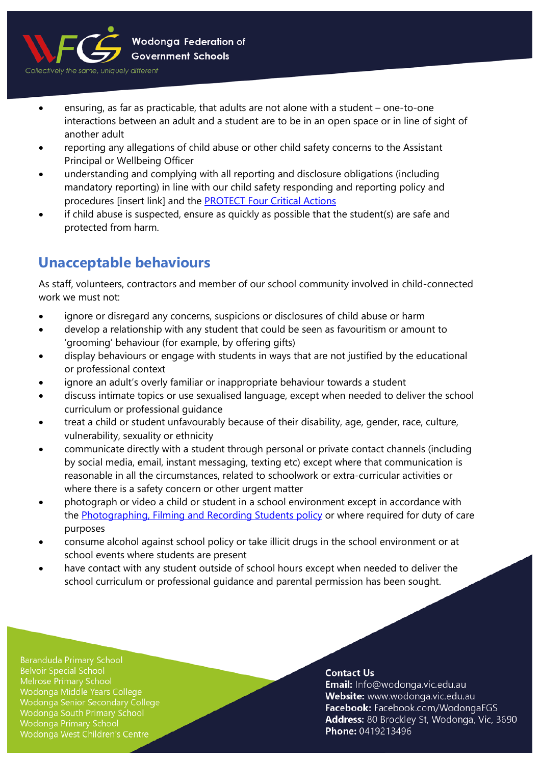

- ensuring, as far as practicable, that adults are not alone with a student one-to-one interactions between an adult and a student are to be in an open space or in line of sight of another adult
- reporting any allegations of child abuse or other child safety concerns to the Assistant Principal or Wellbeing Officer
- understanding and complying with all reporting and disclosure obligations (including mandatory reporting) in line with our child safety responding and reporting policy and procedures [insert link] and the [PROTECT Four Critical Actions](https://www.education.vic.gov.au/Documents/about/programs/health/protect/FourCriticalActions_ChildAbuse.pdf)
- if child abuse is suspected, ensure as quickly as possible that the student(s) are safe and protected from harm.

## **Unacceptable behaviours**

As staff, volunteers, contractors and member of our school community involved in child-connected work we must not:

- ignore or disregard any concerns, suspicions or disclosures of child abuse or harm
- develop a relationship with any student that could be seen as favouritism or amount to 'grooming' behaviour (for example, by offering gifts)
- display behaviours or engage with students in ways that are not justified by the educational or professional context
- ignore an adult's overly familiar or inappropriate behaviour towards a student
- discuss intimate topics or use sexualised language, except when needed to deliver the school curriculum or professional guidance
- treat a child or student unfavourably because of their disability, age, gender, race, culture, vulnerability, sexuality or ethnicity
- communicate directly with a student through personal or private contact channels (including by social media, email, instant messaging, texting etc) except where that communication is reasonable in all the circumstances, related to schoolwork or extra-curricular activities or where there is a safety concern or other urgent matter
- photograph or video a child or student in a school environment except in accordance with the [Photographing, Filming and Recording Students policy](https://www2.education.vic.gov.au/pal/photographing-students/policy) or where required for duty of care purposes
- consume alcohol against school policy or take illicit drugs in the school environment or at school events where students are present
- have contact with any student outside of school hours except when needed to deliver the school curriculum or professional guidance and parental permission has been sought.

**Baranduda Primary School Belvoir Special School** Melrose Primary School Wodonga Middle Years College Wodonga Senior Secondary College Wodonga South Primary School Wodonga Primary School Wodonga West Children's Centre

#### **Contact Us**

Email: Info@wodonga.vic.edu.au Website: www.wodonga.vic.edu.au Facebook: Facebook.com/WodongaFGS Address: 80 Brockley St, Wodonga, Vic, 3690 Phone: 0419213496